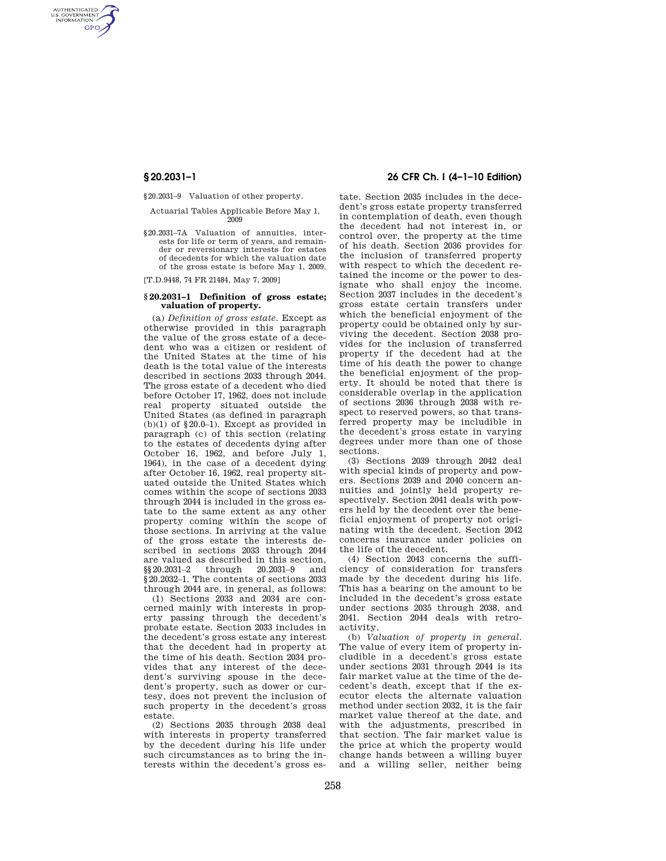AUTHENTICATED<br>U.S. GOVERNMENT<br>INFORMATION **GPO** 

§20.2031–9 Valuation of other property.

#### Actuarial Tables Applicable Before May 1, 2009

§20.2031–7A Valuation of annuities, interests for life or term of years, and remainder or reversionary interests for estates of decedents for which the valuation date of the gross estate is before May 1, 2009.

[T.D.9448, 74 FR 21484, May 7, 2009]

### **§ 20.2031–1 Definition of gross estate; valuation of property.**

(a) *Definition of gross estate.* Except as otherwise provided in this paragraph the value of the gross estate of a decedent who was a citizen or resident of the United States at the time of his death is the total value of the interests described in sections 2033 through 2044. The gross estate of a decedent who died before October 17, 1962, does not include real property situated outside the United States (as defined in paragraph  $(b)(1)$  of §20.0–1). Except as provided in paragraph (c) of this section (relating to the estates of decedents dying after October 16, 1962, and before July 1, 1964), in the case of a decedent dying after October 16, 1962, real property situated outside the United States which comes within the scope of sections 2033 through 2044 is included in the gross estate to the same extent as any other property coming within the scope of those sections. In arriving at the value of the gross estate the interests described in sections 2033 through 2044 are valued as described in this section,<br> $$20.2031-2$  through  $20.2031-9$  and §§20.2031–2 through 20.2031–9 and §20.2032–1. The contents of sections 2033 through 2044 are, in general, as follows:

(1) Sections 2033 and 2034 are concerned mainly with interests in property passing through the decedent's probate estate. Section 2033 includes in the decedent's gross estate any interest that the decedent had in property at the time of his death. Section 2034 provides that any interest of the decedent's surviving spouse in the decedent's property, such as dower or curtesy, does not prevent the inclusion of such property in the decedent's gross estate.

(2) Sections 2035 through 2038 deal with interests in property transferred by the decedent during his life under such circumstances as to bring the interests within the decedent's gross es-

# **§ 20.2031–1 26 CFR Ch. I (4–1–10 Edition)**

tate. Section 2035 includes in the decedent's gross estate property transferred in contemplation of death, even though the decedent had not interest in, or control over, the property at the time of his death. Section 2036 provides for the inclusion of transferred property with respect to which the decedent retained the income or the power to designate who shall enjoy the income. Section 2037 includes in the decedent's gross estate certain transfers under which the beneficial enjoyment of the property could be obtained only by surviving the decedent. Section 2038 provides for the inclusion of transferred property if the decedent had at the time of his death the power to change the beneficial enjoyment of the property. It should be noted that there is considerable overlap in the application of sections 2036 through 2038 with respect to reserved powers, so that transferred property may be includible in the decedent's gross estate in varying degrees under more than one of those sections.

(3) Sections 2039 through 2042 deal with special kinds of property and powers. Sections 2039 and 2040 concern annuities and jointly held property respectively. Section 2041 deals with powers held by the decedent over the beneficial enjoyment of property not originating with the decedent. Section 2042 concerns insurance under policies on the life of the decedent.

(4) Section 2043 concerns the sufficiency of consideration for transfers made by the decedent during his life. This has a bearing on the amount to be included in the decedent's gross estate under sections 2035 through 2038, and 2041. Section 2044 deals with retroactivity.

(b) *Valuation of property in general.*  The value of every item of property includible in a decedent's gross estate under sections 2031 through 2044 is its fair market value at the time of the decedent's death, except that if the executor elects the alternate valuation method under section 2032, it is the fair market value thereof at the date, and with the adjustments, prescribed in that section. The fair market value is the price at which the property would change hands between a willing buyer and a willing seller, neither being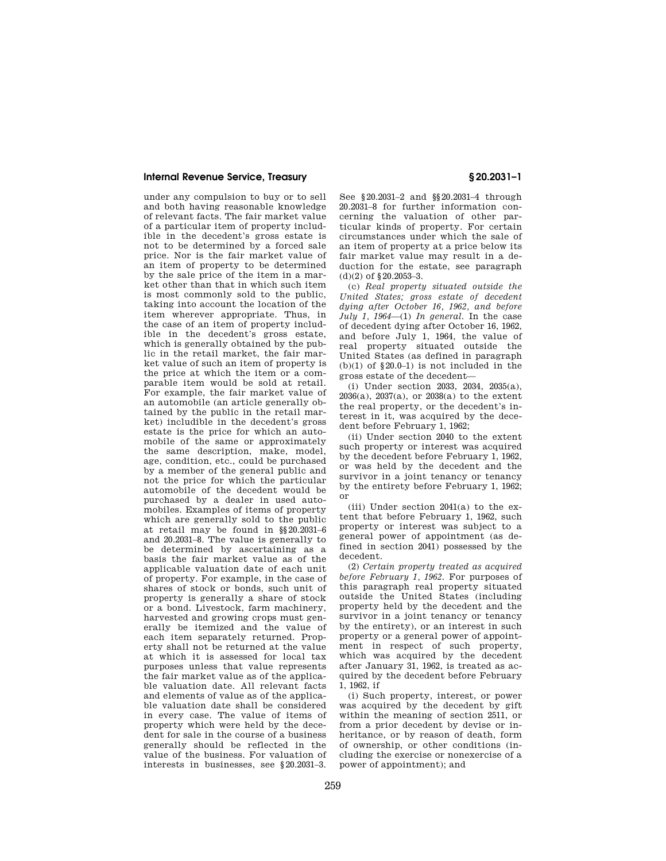## **Internal Revenue Service, Treasury § 20.2031–1**

under any compulsion to buy or to sell and both having reasonable knowledge of relevant facts. The fair market value of a particular item of property includible in the decedent's gross estate is not to be determined by a forced sale price. Nor is the fair market value of an item of property to be determined by the sale price of the item in a market other than that in which such item is most commonly sold to the public, taking into account the location of the item wherever appropriate. Thus, in the case of an item of property includible in the decedent's gross estate, which is generally obtained by the public in the retail market, the fair market value of such an item of property is the price at which the item or a comparable item would be sold at retail. For example, the fair market value of an automobile (an article generally obtained by the public in the retail market) includible in the decedent's gross estate is the price for which an automobile of the same or approximately the same description, make, model, age, condition, etc., could be purchased by a member of the general public and not the price for which the particular automobile of the decedent would be purchased by a dealer in used automobiles. Examples of items of property which are generally sold to the public at retail may be found in §§20.2031–6 and 20.2031–8. The value is generally to be determined by ascertaining as a basis the fair market value as of the applicable valuation date of each unit of property. For example, in the case of shares of stock or bonds, such unit of property is generally a share of stock or a bond. Livestock, farm machinery, harvested and growing crops must generally be itemized and the value of each item separately returned. Property shall not be returned at the value at which it is assessed for local tax purposes unless that value represents the fair market value as of the applicable valuation date. All relevant facts and elements of value as of the applicable valuation date shall be considered in every case. The value of items of property which were held by the decedent for sale in the course of a business generally should be reflected in the value of the business. For valuation of interests in businesses, see §20.2031–3.

See §20.2031–2 and §§20.2031–4 through 20.2031–8 for further information concerning the valuation of other particular kinds of property. For certain circumstances under which the sale of an item of property at a price below its fair market value may result in a deduction for the estate, see paragraph (d)(2) of §20.2053–3.

(c) *Real property situated outside the United States; gross estate of decedent dying after October 16, 1962, and before July 1, 1964*—(1) *In general.* In the case of decedent dying after October 16, 1962, and before July 1, 1964, the value of real property situated outside the United States (as defined in paragraph (b)(1) of  $\S 20.0-1$ ) is not included in the gross estate of the decedent—

(i) Under section 2033, 2034, 2035(a), 2036(a), 2037(a), or 2038(a) to the extent the real property, or the decedent's interest in it, was acquired by the decedent before February 1, 1962;

(ii) Under section 2040 to the extent such property or interest was acquired by the decedent before February 1, 1962, or was held by the decedent and the survivor in a joint tenancy or tenancy by the entirety before February 1, 1962; or

(iii) Under section 2041(a) to the extent that before February 1, 1962, such property or interest was subject to a general power of appointment (as defined in section 2041) possessed by the decedent.

(2) *Certain property treated as acquired before February 1, 1962.* For purposes of this paragraph real property situated outside the United States (including property held by the decedent and the survivor in a joint tenancy or tenancy by the entirety), or an interest in such property or a general power of appointment in respect of such property, which was acquired by the decedent after January 31, 1962, is treated as acquired by the decedent before February 1, 1962, if

(i) Such property, interest, or power was acquired by the decedent by gift within the meaning of section 2511, or from a prior decedent by devise or inheritance, or by reason of death, form of ownership, or other conditions (including the exercise or nonexercise of a power of appointment); and